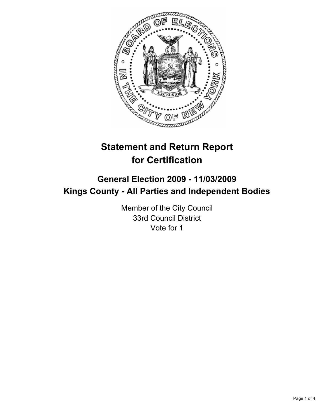

# **Statement and Return Report for Certification**

## **General Election 2009 - 11/03/2009 Kings County - All Parties and Independent Bodies**

Member of the City Council 33rd Council District Vote for 1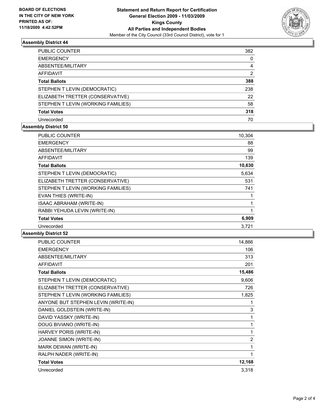

## **Assembly District 44**

| PUBLIC COUNTER                     | 382 |
|------------------------------------|-----|
| <b>EMERGENCY</b>                   | 0   |
| ABSENTEE/MILITARY                  | 4   |
| <b>AFFIDAVIT</b>                   | 2   |
| <b>Total Ballots</b>               | 388 |
| STEPHEN T LEVIN (DEMOCRATIC)       | 238 |
| ELIZABETH TRETTER (CONSERVATIVE)   | 22  |
| STEPHEN T LEVIN (WORKING FAMILIES) | 58  |
| <b>Total Votes</b>                 | 318 |
| Unrecorded                         | 70  |

## **Assembly District 50**

| <b>PUBLIC COUNTER</b>              | 10,304 |
|------------------------------------|--------|
| <b>EMERGENCY</b>                   | 88     |
| ABSENTEE/MILITARY                  | 99     |
| <b>AFFIDAVIT</b>                   | 139    |
| <b>Total Ballots</b>               | 10,630 |
| STEPHEN T LEVIN (DEMOCRATIC)       | 5,634  |
| ELIZABETH TRETTER (CONSERVATIVE)   | 531    |
| STEPHEN T LEVIN (WORKING FAMILIES) | 741    |
| EVAN THIES (WRITE-IN)              |        |
| <b>ISAAC ABRAHAM (WRITE-IN)</b>    | 1      |
| RABBI YEHUDA LEVIN (WRITE-IN)      |        |
| <b>Total Votes</b>                 | 6,909  |
| Unrecorded                         | 3,721  |

## **Assembly District 52**

| <b>PUBLIC COUNTER</b>               | 14,866         |
|-------------------------------------|----------------|
| <b>EMERGENCY</b>                    | 106            |
| ABSENTEE/MILITARY                   | 313            |
| <b>AFFIDAVIT</b>                    | 201            |
| <b>Total Ballots</b>                | 15,486         |
| STEPHEN T LEVIN (DEMOCRATIC)        | 9,606          |
| ELIZABETH TRETTER (CONSERVATIVE)    | 726            |
| STEPHEN T LEVIN (WORKING FAMILIES)  | 1,825          |
| ANYONE BUT STEPHEN LEVIN (WRITE-IN) | 1              |
| DANIEL GOLDSTEIN (WRITE-IN)         | 3              |
| DAVID YASSKY (WRITE-IN)             | 1              |
| DOUG BIVIANO (WRITE-IN)             | 1              |
| HARVEY PORIS (WRITE-IN)             | 1              |
| <b>JOANNE SIMON (WRITE-IN)</b>      | $\overline{2}$ |
| MARK DEWAN (WRITE-IN)               | 1              |
| RALPH NADER (WRITE-IN)              | 1              |
| <b>Total Votes</b>                  | 12,168         |
| Unrecorded                          | 3,318          |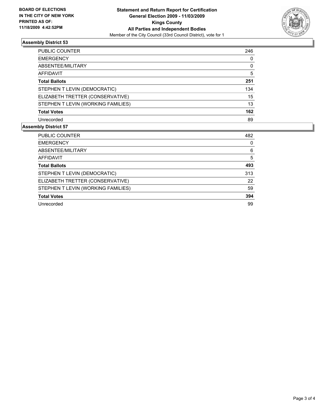

## **Assembly District 53**

| PUBLIC COUNTER                     | 246 |
|------------------------------------|-----|
| <b>EMERGENCY</b>                   | 0   |
| ABSENTEE/MILITARY                  | 0   |
| <b>AFFIDAVIT</b>                   | 5   |
| <b>Total Ballots</b>               | 251 |
| STEPHEN T LEVIN (DEMOCRATIC)       | 134 |
| ELIZABETH TRETTER (CONSERVATIVE)   | 15  |
| STEPHEN T LEVIN (WORKING FAMILIES) | 13  |
| <b>Total Votes</b>                 | 162 |
| Unrecorded                         | 89  |

## **Assembly District 57**

| PUBLIC COUNTER                     | 482 |
|------------------------------------|-----|
| <b>EMERGENCY</b>                   | 0   |
| ABSENTEE/MILITARY                  | 6   |
| <b>AFFIDAVIT</b>                   | 5   |
| <b>Total Ballots</b>               | 493 |
| STEPHEN T LEVIN (DEMOCRATIC)       | 313 |
| ELIZABETH TRETTER (CONSERVATIVE)   | 22  |
| STEPHEN T LEVIN (WORKING FAMILIES) | 59  |
| <b>Total Votes</b>                 | 394 |
| Unrecorded                         | 99  |